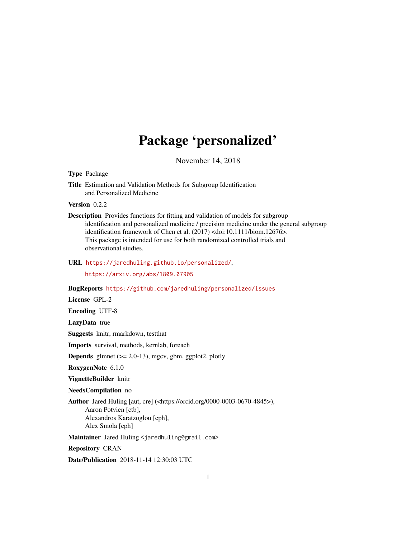# Package 'personalized'

November 14, 2018

<span id="page-0-0"></span>Type Package

Title Estimation and Validation Methods for Subgroup Identification and Personalized Medicine

Version 0.2.2

Description Provides functions for fitting and validation of models for subgroup identification and personalized medicine / precision medicine under the general subgroup identification framework of Chen et al. (2017) <doi:10.1111/biom.12676>. This package is intended for use for both randomized controlled trials and observational studies.

URL <https://jaredhuling.github.io/personalized/>,

<https://arxiv.org/abs/1809.07905>

BugReports <https://github.com/jaredhuling/personalized/issues>

License GPL-2

Encoding UTF-8

LazyData true

Suggests knitr, rmarkdown, testthat

Imports survival, methods, kernlab, foreach

**Depends** glmnet  $(>= 2.0-13)$ , mgcv, gbm, ggplot2, plotly

RoxygenNote 6.1.0

VignetteBuilder knitr

NeedsCompilation no

Author Jared Huling [aut, cre] (<https://orcid.org/0000-0003-0670-4845>), Aaron Potvien [ctb], Alexandros Karatzoglou [cph], Alex Smola [cph]

Maintainer Jared Huling <jaredhuling@gmail.com>

Repository CRAN

Date/Publication 2018-11-14 12:30:03 UTC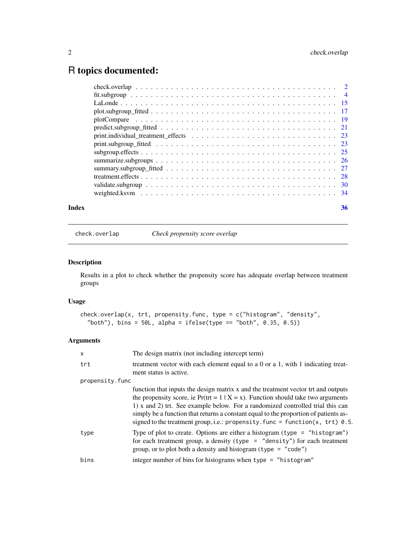## <span id="page-1-0"></span>R topics documented:

| Index |                                                                                                             | 36 |
|-------|-------------------------------------------------------------------------------------------------------------|----|
|       |                                                                                                             |    |
|       |                                                                                                             |    |
|       |                                                                                                             |    |
|       |                                                                                                             |    |
|       |                                                                                                             |    |
|       |                                                                                                             |    |
|       |                                                                                                             |    |
|       |                                                                                                             |    |
|       | $predict. subgroup_fitted \dots \dots \dots \dots \dots \dots \dots \dots \dots \dots \dots \dots \dots 21$ |    |
|       |                                                                                                             |    |
|       |                                                                                                             |    |
|       |                                                                                                             |    |
|       |                                                                                                             |    |
|       |                                                                                                             |    |

check.overlap *Check propensity score overlap*

### Description

Results in a plot to check whether the propensity score has adequate overlap between treatment groups

#### Usage

```
check.overlap(x, trt, propensity.func, type = c("histogram", "density",
  "both"), bins = 50L, alpha = ifelse(type == "both", 0.35, 0.5))
```
#### Arguments

| $\mathsf{x}$    | The design matrix (not including intercept term)                                                                                                                                                                                                                                                                                                                                                                                       |
|-----------------|----------------------------------------------------------------------------------------------------------------------------------------------------------------------------------------------------------------------------------------------------------------------------------------------------------------------------------------------------------------------------------------------------------------------------------------|
| trt             | treatment vector with each element equal to a 0 or a 1, with 1 indicating treat-<br>ment status is active.                                                                                                                                                                                                                                                                                                                             |
| propensity.func |                                                                                                                                                                                                                                                                                                                                                                                                                                        |
|                 | function that inputs the design matrix x and the treatment vector trt and outputs<br>the propensity score, ie $Pr(trt = 1   X = x)$ . Function should take two arguments<br>1) x and 2) trt. See example below. For a randomized controlled trial this can<br>simply be a function that returns a constant equal to the proportion of patients as-<br>signed to the treatment group, i.e.: propensity. func = function(x, trt) $0.5$ . |
| type            | Type of plot to create. Options are either a histogram (type = "histogram")<br>for each treatment group, a density (type $=$ "density") for each treatment<br>group, or to plot both a density and histogram (type = "code")                                                                                                                                                                                                           |
| bins            | integer number of bins for histograms when type = "histogram"                                                                                                                                                                                                                                                                                                                                                                          |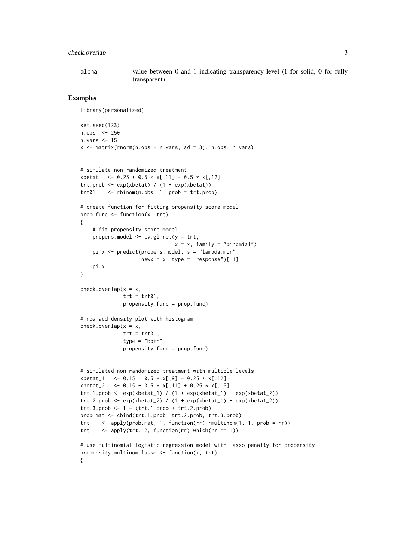#### check.overlap 3

alpha value between 0 and 1 indicating transparency level (1 for solid, 0 for fully transparent)

#### Examples

```
library(personalized)
set.seed(123)
n.obs <- 250
n. vars \leq -15x \le - matrix(rnorm(n.obs * n.vars, sd = 3), n.obs, n.vars)
# simulate non-randomized treatment
xbeta \ < -0.25 + 0.5 \times x[, 11] - 0.5 \times x[, 12]
trt.prob \leq -\exp(xbeta) / (1 + \exp(xbeta))trt01 <- rbinom(n.obs, 1, prob = trt.prob)
# create function for fitting propensity score model
prop.func <- function(x, trt)
{
    # fit propensity score model
    propens.model <- cv.glmnet(y = trt,
                               x = x, family = "binomial")
    pi.x <- predict(propens.model, s = "lambda.min",
                    newx = x, type = "response")[0, 1]pi.x
}
check.cverlap(x = x,trt = trt01,
              propensity.func = prop.func)
# now add density plot with histogram
check. overlap(x = x,trt = trt01,
              type = "both",
              propensity.func = prop.func)
# simulated non-randomized treatment with multiple levels
xbeta_1 <- 0.15 + 0.5 * x[, 9] - 0.25 * x[, 12]xbeta_2 <- 0.15 - 0.5 * x[,11] + 0.25 * x[,15]tr1.1.prob \leftarrow exp(xbeta_1) / (1 + exp(xbeta_1) + exp(xbeta_2))trt.2.prob \leftarrow exp(xbeta_2) / (1 + exp(xbeta_1) + exp(xbeta_2))trt.3. prob < -1 - (trt.1. prob + trt.2. prob)prob.mat <- cbind(trt.1.prob, trt.2.prob, trt.3.prob)
trt <- apply(prob.mat, 1, function(rr) rmultinom(1, 1, prob = rr))
trt \langle - apply(trt, 2, function(rr) which(rr == 1))
# use multinomial logistic regression model with lasso penalty for propensity
propensity.multinom.lasso <- function(x, trt)
{
```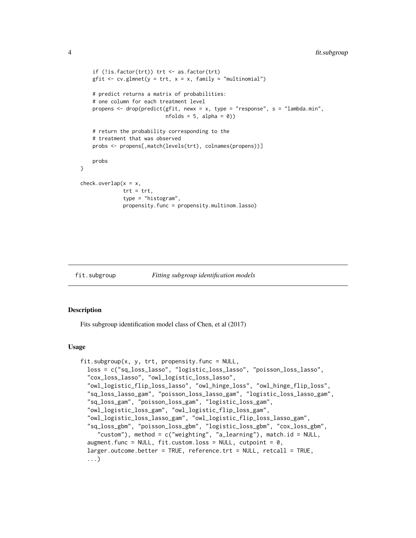```
if (!is.factor(trt)) trt <- as.factor(trt)
   gfit \leq cv.glmnet(y = trt, x = x, family = "multinomial")
    # predict returns a matrix of probabilities:
    # one column for each treatment level
   propens <- drop(predict(gfit, newx = x, type = "response", s = "lambda.min",
                            nfolds = 5, alpha = 0))
    # return the probability corresponding to the
    # treatment that was observed
    probs <- propens[,match(levels(trt), colnames(propens))]
    probs
}
check.overlap(x = x,
              trt = trt,type = "histogram",
              propensity.func = propensity.multinom.lasso)
```
<span id="page-3-1"></span>

fit.subgroup *Fitting subgroup identification models*

#### Description

Fits subgroup identification model class of Chen, et al (2017)

#### Usage

```
fit.subgroup(x, y, trt, propensity.func = NULL,loss = c("sq_loss_lasso", "logistic_loss_lasso", "poisson_loss_lasso",
 "cox_loss_lasso", "owl_logistic_loss_lasso",
 "owl_logistic_flip_loss_lasso", "owl_hinge_loss", "owl_hinge_flip_loss",
 "sq_loss_lasso_gam", "poisson_loss_lasso_gam", "logistic_loss_lasso_gam",
 "sq_loss_gam", "poisson_loss_gam", "logistic_loss_gam",
 "owl_logistic_loss_gam", "owl_logistic_flip_loss_gam",
 "owl_logistic_loss_lasso_gam", "owl_logistic_flip_loss_lasso_gam",
 "sq_loss_gbm", "poisson_loss_gbm", "logistic_loss_gbm", "cox_loss_gbm",
     "custom"), method = c("weighting", "a_learning"), match.id = NULL,
 augment.func = NULL, fit.custom.loss = NULL, cutpoint = 0,
 larger.outcome.better = TRUE, reference.trt = NULL, retcall = TRUE,
 ...)
```
<span id="page-3-0"></span>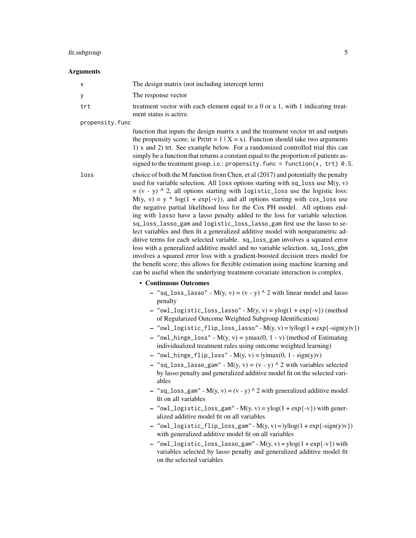#### fit.subgroup 5

#### **Arguments**

| $\mathsf{x}$ | The design matrix (not including intercept term)                                                           |
|--------------|------------------------------------------------------------------------------------------------------------|
| <b>y</b>     | The response vector                                                                                        |
| trt          | treatment vector with each element equal to a 0 or a 1, with 1 indicating treat-<br>ment status is active. |
|              |                                                                                                            |

propensity.func

function that inputs the design matrix x and the treatment vector trt and outputs the propensity score, ie Pr(trt =  $1 | X = x$ ). Function should take two arguments 1) x and 2) trt. See example below. For a randomized controlled trial this can simply be a function that returns a constant equal to the proportion of patients assigned to the treatment group, i.e.: propensity. func = function(x, trt)  $0.5$ .

loss choice of both the M function from Chen, et al (2017) and potentially the penalty used for variable selection. All loss options starting with sq loss use  $M(y, y)$  $= (v - y)$  ^ 2, all options starting with logistic\_loss use the logistic loss:  $M(y, y) = y * log(1 + exp{-y})$ , and all options starting with cox\_loss use the negative partial likelihood loss for the Cox PH model. All options ending with lasso have a lasso penalty added to the loss for variable selection. sq\_loss\_lasso\_gam and logistic\_loss\_lasso\_gam first use the lasso to select variables and then fit a generalized additive model with nonparametric additive terms for each selected variable. sq\_loss\_gam involves a squared error loss with a generalized additive model and no variable selection. sq\_loss\_gbm involves a squared error loss with a gradient-boosted decision trees model for the benefit score; this allows for flexible estimation using machine learning and can be useful when the underlying treatment-covariate interaction is complex.

#### • Continuous Outcomes

- $-$  "sq\_loss\_lasso" M(y, v) = (v y) ^ 2 with linear model and lasso penalty
- $-$  "owl\_logistic\_loss\_lasso" M(y, v) = ylog(1 + exp{-v}) (method of Regularized Outcome Weighted Subgroup Identification)
- $-$  "owl\_logistic\_flip\_loss\_lasso" M(y, v) =  $|y|log(1 + exp{-sign(y)v})|$
- "owl\_hinge\_loss"  $M(y, y) = ymax(0, 1 y)$  (method of Estimating individualized treatment rules using outcome weighted learning)
- $-$  "owl\_hinge\_flip\_loss" M(y, v) =  $|y|max(0, 1 sign(y)v)|$
- $-$  "sq\_loss\_lasso\_gam" M(y, v) = (v y) ^ 2 with variables selected by lasso penalty and generalized additive model fit on the selected variables
- "sq\_loss\_gam" M(y, v) = (v y) ^ 2 with generalized additive model fit on all variables
- $-$  "owl\_logistic\_loss\_gam"  $M(y, y) = y\log(1 + \exp\{-y\})$  with generalized additive model fit on all variables
- $-$  "owl\_logistic\_flip\_loss\_gam"  $M(y, v) = |y|log(1 + exp{-sign(y)v})$ with generalized additive model fit on all variables
- $-$  "owl\_logistic\_loss\_lasso\_gam"  $M(y, v) = y \log(1 + exp{-v})$  with variables selected by lasso penalty and generalized additive model fit on the selected variables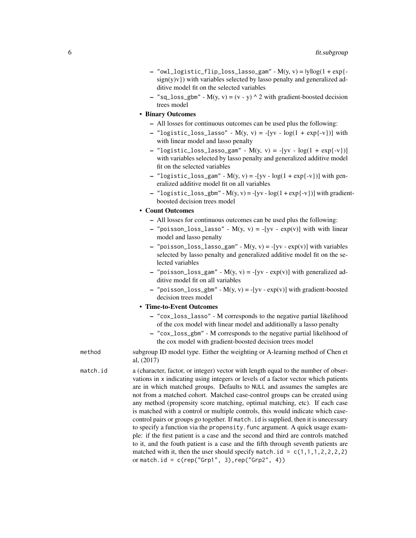- $-$  "owl\_logistic\_flip\_loss\_lasso\_gam"  $M(y, v) = |y|log(1 + exp{-\frac{1}{2}})$  $sign(y)y)$ ) with variables selected by lasso penalty and generalized additive model fit on the selected variables
- $-$  "sq\_loss\_gbm" M(y, v) = (v y) ^ 2 with gradient-boosted decision trees model
- Binary Outcomes
	- All losses for continuous outcomes can be used plus the following:
	- "logistic\_loss\_lasso"  $M(y, v) = -[yv log(1 + exp{-v})]$  with with linear model and lasso penalty
	- $-$  "logistic\_loss\_lasso\_gam" M(y, y) = -[yv log(1 + exp{-v})] with variables selected by lasso penalty and generalized additive model fit on the selected variables
	- "logistic\_loss\_gam"  $M(y, y) = -[yy log(1 + exp{-y})]$  with generalized additive model fit on all variables
	- "logistic\_loss\_gbm" M(y, v) = -[yv log(1 + exp{-v})] with gradientboosted decision trees model

#### • Count Outcomes

- All losses for continuous outcomes can be used plus the following:
- $-$  "poisson\_loss\_lasso" M(y, y) = -[yv exp(y)] with with linear model and lasso penalty
- "poisson\_loss\_lasso\_gam"  $M(y, v) = -[yv exp(v)]$  with variables selected by lasso penalty and generalized additive model fit on the selected variables
- $-$  "poisson\_loss\_gam" M(y, v) = -[yv exp(v)] with generalized additive model fit on all variables
- "poisson\_loss\_gbm"  $M(y, y) = -[yy exp(y)]$  with gradient-boosted decision trees model

#### • Time-to-Event Outcomes

- "cox\_loss\_lasso" M corresponds to the negative partial likelihood of the cox model with linear model and additionally a lasso penalty
- "cox\_loss\_gbm" M corresponds to the negative partial likelihood of the cox model with gradient-boosted decision trees model

method subgroup ID model type. Either the weighting or A-learning method of Chen et al, (2017)

match.id a (character, factor, or integer) vector with length equal to the number of observations in x indicating using integers or levels of a factor vector which patients are in which matched groups. Defaults to NULL and assumes the samples are not from a matched cohort. Matched case-control groups can be created using any method (propensity score matching, optimal matching, etc). If each case is matched with a control or multiple controls, this would indicate which casecontrol pairs or groups go together. If match.id is supplied, then it is unecessary to specify a function via the propensity. func argument. A quick usage example: if the first patient is a case and the second and third are controls matched to it, and the fouth patient is a case and the fifth through seventh patients are matched with it, then the user should specify match.id =  $c(1,1,1,2,2,2,2)$ or match.id =  $c(rep("Grp1", 3), rep("Grp2", 4))$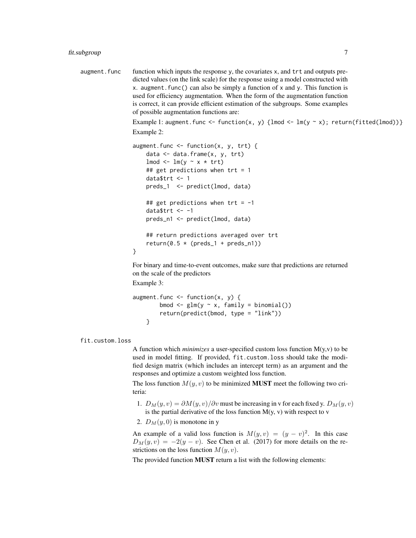augment. func function which inputs the response  $y$ , the covariates  $x$ , and  $trt$  and outputs predicted values (on the link scale) for the response using a model constructed with x. augment. func() can also be simply a function of x and y. This function is used for efficiency augmentation. When the form of the augmentation function is correct, it can provide efficient estimation of the subgroups. Some examples of possible augmentation functions are:

> Example 1: augment.func <- function(x, y) {lmod <- lm(y ~ x); return(fitted(lmod))} Example 2:

```
augment.func \leq function(x, y, trt) {
    data \leq data.frame(x, y, trt)lmod \leq lm(y \sim x \star trt)
   ## get predictions when trt = 1data$trt <- 1
    preds_1 <- predict(lmod, data)
    ## get predictions when tr t = -1datatrt <- -1
    preds_n1 <- predict(lmod, data)
   ## return predictions averaged over trt
    return(0.5 * (preds_1 + preds_n))}
```
For binary and time-to-event outcomes, make sure that predictions are returned on the scale of the predictors

Example 3:

```
augment.func \leq function(x, y) {
        bmod \leq glm(y \sim x, family = binomial())
        return(predict(bmod, type = "link"))
    }
```
fit.custom.loss

A function which *minimizes* a user-specified custom loss function M(y,v) to be used in model fitting. If provided, fit.custom.loss should take the modified design matrix (which includes an intercept term) as an argument and the responses and optimize a custom weighted loss function.

The loss function  $M(y, v)$  to be minimized **MUST** meet the following two criteria:

- 1.  $D_M(y, v) = \partial M(y, v) / \partial v$  must be increasing in v for each fixed y.  $D_M(y, v)$ is the partial derivative of the loss function  $M(y, v)$  with respect to v
- 2.  $D_M(y, 0)$  is monotone in y

An example of a valid loss function is  $M(y, v) = (y - v)^2$ . In this case  $D_M(y, v) = -2(y - v)$ . See Chen et al. (2017) for more details on the restrictions on the loss function  $M(y, v)$ .

The provided function MUST return a list with the following elements: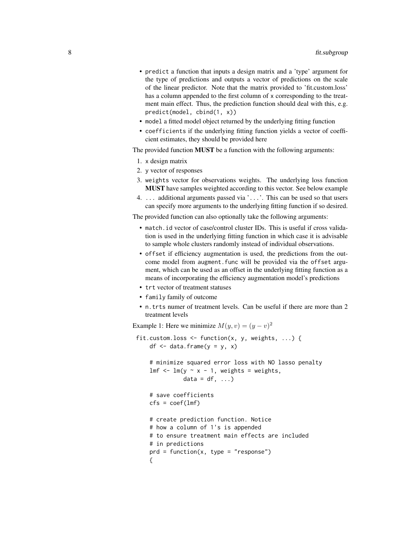- predict a function that inputs a design matrix and a 'type' argument for the type of predictions and outputs a vector of predictions on the scale of the linear predictor. Note that the matrix provided to 'fit.custom.loss' has a column appended to the first column of x corresponding to the treatment main effect. Thus, the prediction function should deal with this, e.g. predict(model, cbind(1, x))
- model a fitted model object returned by the underlying fitting function
- coefficients if the underlying fitting function yields a vector of coefficient estimates, they should be provided here

The provided function MUST be a function with the following arguments:

- 1. x design matrix
- 2. y vector of responses
- 3. weights vector for observations weights. The underlying loss function MUST have samples weighted according to this vector. See below example
- 4. ... additional arguments passed via '...'. This can be used so that users can specify more arguments to the underlying fitting function if so desired.

The provided function can also optionally take the following arguments:

- match.id vector of case/control cluster IDs. This is useful if cross validation is used in the underlying fitting function in which case it is advisable to sample whole clusters randomly instead of individual observations.
- offset if efficiency augmentation is used, the predictions from the outcome model from augment.func will be provided via the offset argument, which can be used as an offset in the underlying fitting function as a means of incorporating the efficiency augmentation model's predictions
- trt vector of treatment statuses
- family family of outcome
- n.trts numer of treatment levels. Can be useful if there are more than 2 treatment levels

Example 1: Here we minimize  $M(y, v) = (y - v)^2$ 

```
fit.custom.loss <- function(x, y, weights, ...) {
    df \leq data.frame(y = y, x)
    # minimize squared error loss with NO lasso penalty
    lmf \leq - lm(y \sim x - 1, weights = weights,
              data = df, ...# save coefficients
    cfs = coef(lmf)# create prediction function. Notice
    # how a column of 1's is appended
    # to ensure treatment main effects are included
    # in predictions
    prd = function(x, type = "response"){
```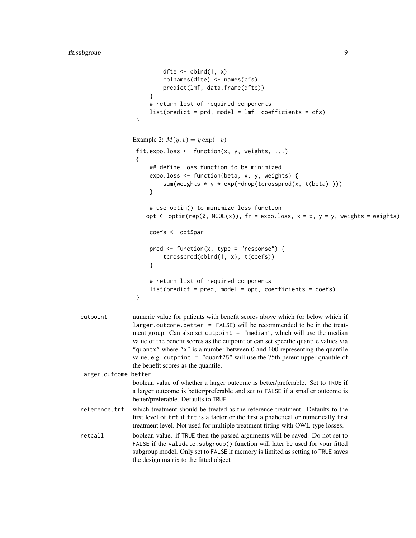```
dfte \le cbind(1, x)
                           colnames(dfte) <- names(cfs)
                           predict(lmf, data.frame(dfte))
                       }
                      # return lost of required components
                      list(predict = prd, model = Imf, coefficient = cfs)}
                 Example 2: M(y, v) = y \exp(-v)fit.expo.loss \leq function(x, y, weights, ...)
                  {
                      ## define loss function to be minimized
                      expo.loss <- function(beta, x, y, weights) {
                           sum(weights * y * exp(-drop(tcrossprod(x, t(beta))))}
                      # use optim() to minimize loss function
                     opt \le- optim(rep(0, NCOL(x)), fn = expo.loss, x = x, y = y, weights = weights)
                      coefs <- opt$par
                      pred \leq function(x, type = "response") {
                           tcrossprod(cbind(1, x), t(coefs))
                       }
                      # return list of required components
                      list(predict = pred, model = opt, coefficients = coefs)
                  }
cutpoint numeric value for patients with benefit scores above which (or below which if
                 larger.outcome.better = FALSE) will be recommended to be in the treat-
                 ment group. Can also set cutpoint = "median", which will use the median
                 value of the benefit scores as the cutpoint or can set specific quantile values via
                 "quantx" where "x" is a number between 0 and 100 representing the quantile
                 value; e.g. cutpoint = "quant75" will use the 75th perent upper quantile of
                 the benefit scores as the quantile.
larger.outcome.better
                 boolean value of whether a larger outcome is better/preferable. Set to TRUE if
                 a larger outcome is better/preferable and set to FALSE if a smaller outcome is
                 better/preferable. Defaults to TRUE.
reference.trt which treatment should be treated as the reference treatment. Defaults to the
                 first level of trt if trt is a factor or the first alphabetical or numerically first
                 treatment level. Not used for multiple treatment fitting with OWL-type losses.
retcall boolean value. if TRUE then the passed arguments will be saved. Do not set to
                 FALSE if the validate.subgroup() function will later be used for your fitted
                 subgroup model. Only set to FALSE if memory is limited as setting to TRUE saves
                 the design matrix to the fitted object
```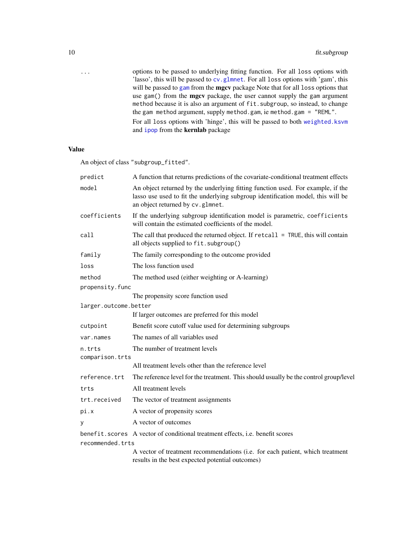<span id="page-9-0"></span>

| the gam method argument, supply method gam, ie method gam $=$ "REML".<br>and <b>i</b> pop from the <b>kernlab</b> package | . | options to be passed to underlying fitting function. For all loss options with         |
|---------------------------------------------------------------------------------------------------------------------------|---|----------------------------------------------------------------------------------------|
|                                                                                                                           |   | 'lasso', this will be passed to cv. glmnet. For all loss options with 'gam', this      |
|                                                                                                                           |   | will be passed to gam from the <b>mgcv</b> package Note that for all loss options that |
|                                                                                                                           |   | use gam() from the <b>mgcv</b> package, the user cannot supply the gam argument        |
|                                                                                                                           |   | method because it is also an argument of fit. subgroup, so instead, to change          |
|                                                                                                                           |   |                                                                                        |
|                                                                                                                           |   | For all loss options with 'hinge', this will be passed to both weighted, ksym          |
|                                                                                                                           |   |                                                                                        |

### Value

An object of class "subgroup\_fitted".

| predict               | A function that returns predictions of the covariate-conditional treatment effects                                                                                                                      |
|-----------------------|---------------------------------------------------------------------------------------------------------------------------------------------------------------------------------------------------------|
| model                 | An object returned by the underlying fitting function used. For example, if the<br>lasso use used to fit the underlying subgroup identification model, this will be<br>an object returned by cv.glmnet. |
| coefficients          | If the underlying subgroup identification model is parametric, coefficients<br>will contain the estimated coefficients of the model.                                                                    |
| call                  | The call that produced the returned object. If $retcall = TRUE$ , this will contain<br>all objects supplied to fit. subgroup()                                                                          |
| family                | The family corresponding to the outcome provided                                                                                                                                                        |
| loss                  | The loss function used                                                                                                                                                                                  |
| method                | The method used (either weighting or A-learning)                                                                                                                                                        |
| propensity.func       |                                                                                                                                                                                                         |
|                       | The propensity score function used                                                                                                                                                                      |
| larger.outcome.better |                                                                                                                                                                                                         |
|                       | If larger outcomes are preferred for this model                                                                                                                                                         |
| cutpoint              | Benefit score cutoff value used for determining subgroups                                                                                                                                               |
| var.names             | The names of all variables used                                                                                                                                                                         |
| n.trts                | The number of treatment levels                                                                                                                                                                          |
| comparison.trts       |                                                                                                                                                                                                         |
|                       | All treatment levels other than the reference level                                                                                                                                                     |
| reference.trt         | The reference level for the treatment. This should usually be the control group/level                                                                                                                   |
| trts                  | All treatment levels                                                                                                                                                                                    |
| trt.received          | The vector of treatment assignments                                                                                                                                                                     |
| pi.x                  | A vector of propensity scores                                                                                                                                                                           |
| У                     | A vector of outcomes                                                                                                                                                                                    |
|                       | benefit.scores A vector of conditional treatment effects, i.e. benefit scores                                                                                                                           |
| recommended.trts      |                                                                                                                                                                                                         |
|                       | A vector of treatment recommendations (i.e. for each patient, which treatment                                                                                                                           |

results in the best expected potential outcomes)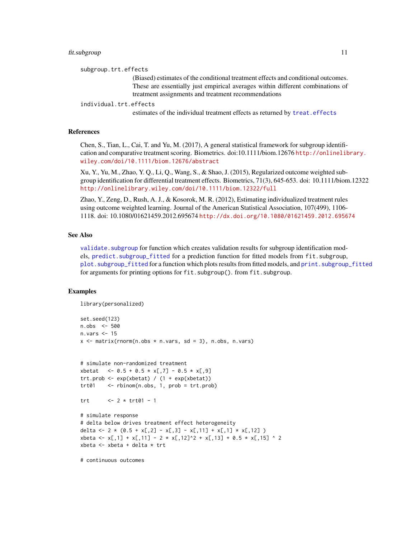#### <span id="page-10-0"></span>fit.subgroup 11

subgroup.trt.effects

(Biased) estimates of the conditional treatment effects and conditional outcomes. These are essentially just empirical averages within different combinations of treatment assignments and treatment recommendations

individual.trt.effects

estimates of the individual treatment effects as returned by [treat.effects](#page-27-1)

#### References

Chen, S., Tian, L., Cai, T. and Yu, M. (2017), A general statistical framework for subgroup identification and comparative treatment scoring. Biometrics. doi:10.1111/biom.12676 [http://onlinelib](http://onlinelibrary.wiley.com/doi/10.1111/biom.12676/abstract)rary. [wiley.com/doi/10.1111/biom.12676/abstract](http://onlinelibrary.wiley.com/doi/10.1111/biom.12676/abstract)

Xu, Y., Yu, M., Zhao, Y. Q., Li, Q., Wang, S., & Shao, J. (2015), Regularized outcome weighted subgroup identification for differential treatment effects. Biometrics, 71(3), 645-653. doi: 10.1111/biom.12322 <http://onlinelibrary.wiley.com/doi/10.1111/biom.12322/full>

Zhao, Y., Zeng, D., Rush, A. J., & Kosorok, M. R. (2012), Estimating individualized treatment rules using outcome weighted learning. Journal of the American Statistical Association, 107(499), 1106- 1118. doi: 10.1080/01621459.2012.695674 <http://dx.doi.org/10.1080/01621459.2012.695674>

#### See Also

validate. subgroup for function which creates validation results for subgroup identification models, [predict.subgroup\\_fitted](#page-20-1) for a prediction function for fitted models from fit.subgroup, [plot.subgroup\\_fitted](#page-16-1) for a function which plots results from fitted models, and [print.subgroup\\_fitted](#page-22-1) for arguments for printing options for fit.subgroup(). from fit.subgroup.

#### Examples

library(personalized)

```
set.seed(123)
n.obs <- 500
n.vars <- 15
x \le matrix(rnorm(n.obs * n.vars, sd = 3), n.obs, n.vars)
# simulate non-randomized treatment
xbetat \leq -0.5 + 0.5 \times x[, 7] -0.5 \times x[, 9]
trt.prob <- exp(xbetat) / (1 + exp(xbeta))trt01 <- rbinom(n.obs, 1, prob = trt.prob)
trt \leq -2 \times trt01 - 1# simulate response
# delta below drives treatment effect heterogeneity
delta <- 2 * (0.5 + x[, 2] - x[, 3] - x[, 11] + x[, 1] * x[, 12]xbeta <- x[,1] + x[,11] - 2 * x[,12]^2 + x[,13] + 0.5 * x[,15] ^ 2
xbeta <- xbeta + delta * trt
```
# continuous outcomes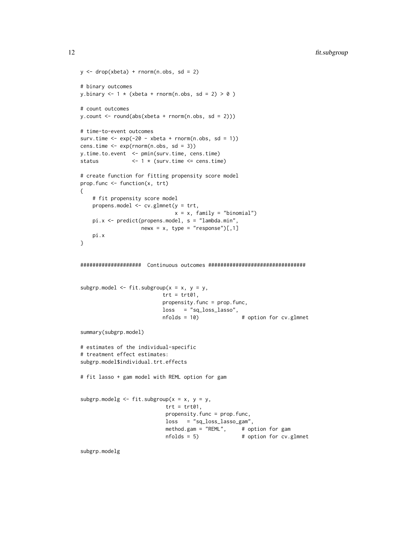```
y \le - drop(xbeta) + rnorm(n.obs, sd = 2)
# binary outcomes
y.binary \leq -1 \times (xbeta + rnorm(n.obs, sd = 2) > 0)
# count outcomes
y.count \le round(abs(xbeta + rnorm(n.obs, sd = 2)))
# time-to-event outcomes
surv.time \leq -\exp(-20 - \text{xbeta} + \text{rnorm}(n.\text{obs}, \text{sd} = 1))cens.time <- exp(rnorm(n.obs, sd = 3))
y.time.to.event <- pmin(surv.time, cens.time)
status <- 1 * (surv.time <= cens.time)
# create function for fitting propensity score model
prop.func <- function(x, trt)
{
    # fit propensity score model
   propens.model <- cv.glmnet(y = trt,
                              x = x, family = "binomial")
   pi.x <- predict(propens.model, s = "lambda.min",
                   newx = x, type = "response")[0, 1]pi.x
}
#################### Continuous outcomes ################################
subgrp.model \leq fit.subgroup(x = x, y = y,
                           trt = trt01,propensity.func = prop.func,
                           loss = "sq_loss\_lasso",nfolds = 10) # option for cv.glmnet
summary(subgrp.model)
# estimates of the individual-specific
# treatment effect estimates:
subgrp.model$individual.trt.effects
# fit lasso + gam model with REML option for gam
subgrp.modelg \leq fit.subgroup(x = x, y = y,
                            trt = trt01,propensity.func = prop.func,
                            loss = "sq_loss_lasso_gam",
                            method.gam = "REML", # option for gam
                            nfolds = 5 # option for cv.glmnet
```
subgrp.modelg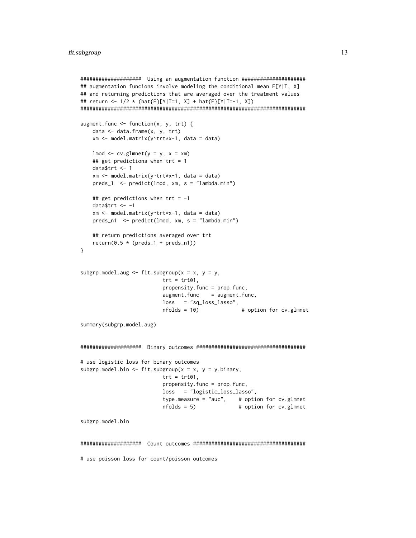```
#################### Using an augmentation function #####################
## augmentation funcions involve modeling the conditional mean E[Y|T, X]
## and returning predictions that are averaged over the treatment values
## return <- 1/2 * (hat{E}[Y|T=1, X] + hat{E}[Y|T=-1, X])
##########################################################################
augment.func \leq function(x, y, trt) {
   data <- data.frame(x, y, trt)
   xm <- model.matrix(y~trt*x-1, data = data)
   lmod < -cv.glmnet(y = y, x = xm)## get predictions when trt = 1data$trt <- 1
   xm <- model.matrix(y~trt*x-1, data = data)
   preds_1 <- predict(lmod, xm, s = "lambda.min")
   ## get predictions when tr = -1datatrt <- -1
   xm <- model.matrix(y~trt*x-1, data = data)
   preds_n1 <- predict(lmod, xm, s = "lambda.min")
   ## return predictions averaged over trt
   return(0.5 * (preds_1 + preds_n))}
subgrp.model.aug \leq fit.subgroup(x = x, y = y,
                          trt = trt01,
                          propensity.func = prop.func,
                          augment.func = augment.func,loss = "sq_loss_lasso",
                          nfolds = 10) # option for cv.glmnet
summary(subgrp.model.aug)
#################### Binary outcomes ####################################
# use logistic loss for binary outcomes
subgrp.model.bin <- fit.subgroup(x = x, y = y.binary,
                          trt = trt01,propensity.func = prop.func,
                          loss = "logistic_loss_lasso",
                          type.measure = "auc", # option for cv.glmnet
                          nfolds = 5) # option for cv.glmnet
subgrp.model.bin
#################### Count outcomes #####################################
# use poisson loss for count/poisson outcomes
```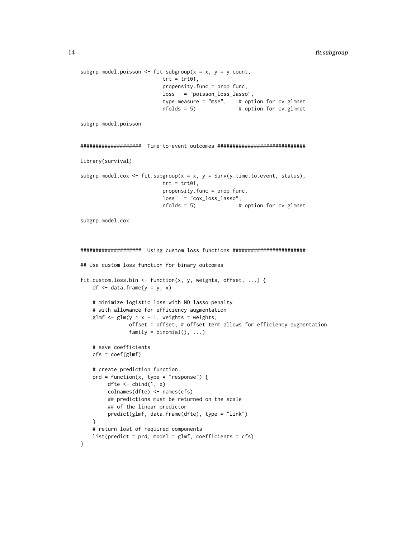```
subgrp.model.poisson <- fit.subgroup(x = x, y = y.count,
                          trt = trt01,
                          propensity.func = prop.func,
                          loss = "poisson_loss_lasso",
                          type.measure = "mse", # option for cv.glmnet
                          nfolds = 5) # option for cv.glmnet
subgrp.model.poisson
#################### Time-to-event outcomes #############################
library(survival)
subgrp.model.cox <- fit.subgroup(x = x, y = Surv(y.time.to.event, status),
                          trt = trt01,propensity.func = prop.func,
                          loss = "cox_loss_lasso",
                          nfolds = 5 # option for cv.glmnet
subgrp.model.cox
#################### Using custom loss functions ########################
## Use custom loss function for binary outcomes
fit.custom.loss.bin <- function(x, y, weights, offset, ...) {
   df \leftarrow data.frame(y = y, x)# minimize logistic loss with NO lasso penalty
    # with allowance for efficiency augmentation
   glmf \leq glm(y \sim x - 1, weights = weights,
               offset = offset, # offset term allows for efficiency augmentation
               family = binomial(), ...,# save coefficients
   cfs = coef(glmf)# create prediction function.
   prd = function(x, type = "response") {
        dfte \leftarrow cbind(1, x)
        colnames(dfte) <- names(cfs)
        ## predictions must be returned on the scale
        ## of the linear predictor
        predict(glmf, data.frame(dfte), type = "link")
   }
   # return lost of required components
   list(predict = prd, model = glmf, coefficient = cfs)}
```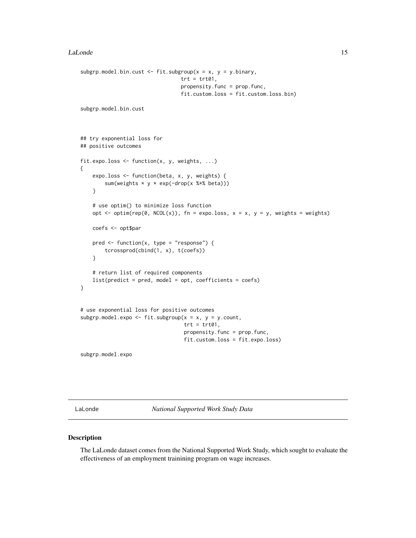```
subgrp.model.bin.cust <- fit.subgroup(x = x, y = y.binary,
                                 trt = trt01,
                                 propensity.func = prop.func,
                                 fit.custom.loss = fit.custom.loss.bin)
subgrp.model.bin.cust
## try exponential loss for
## positive outcomes
fit.expo.loss <- function(x, y, weights, ...)
{
   expo.loss <- function(beta, x, y, weights) {
        sum(weights * y * exp(-drop(x %*% beta)))
    }
    # use optim() to minimize loss function
   opt \le optim(rep(0, NCOL(x)), fn = expo.loss, x = x, y = y, weights = weights)
   coefs <- opt$par
   pred \leq function(x, type = "response") {
        tcrossprod(cbind(1, x), t(coefs))
    }
   # return list of required components
   list(predict = pred, model = opt, coefficients = coefs)
}
# use exponential loss for positive outcomes
subgrp.model.expo <- fit.subgroup(x = x, y = y.count,
                                  trt = trt01,
                                  propensity.func = prop.func,
                                  fit.custom.loss = fit.expo.loss)
subgrp.model.expo
```
LaLonde *National Supported Work Study Data*

#### Description

The LaLonde dataset comes from the National Supported Work Study, which sought to evaluate the effectiveness of an employment trainining program on wage increases.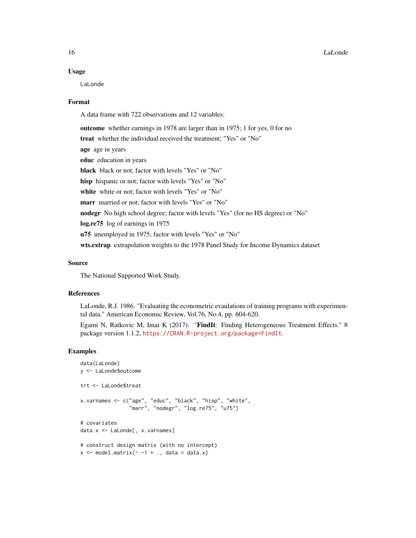#### Usage

LaLonde

#### Format

A data frame with 722 observations and 12 variables:

outcome whether earnings in 1978 are larger than in 1975; 1 for yes, 0 for no treat whether the individual received the treatment; "Yes" or "No" age age in years educ education in years black black or not; factor with levels "Yes" or "No" hisp hispanic or not; factor with levels "Yes" or "No" white white or not; factor with levels "Yes" or "No" marr married or not; factor with levels "Yes" or "No" nodegr No high school degree; factor with levels "Yes" (for no HS degree) or "No" log.re75 log of earnings in 1975 u75 unemployed in 1975; factor with levels "Yes" or "No" wts.extrap extrapolation weights to the 1978 Panel Study for Income Dynamics dataset

#### Source

The National Supported Work Study.

#### References

LaLonde, R.J. 1986. "Evaluating the econometric evaulations of training programs with experimental data." American Economic Review, Vol.76, No.4, pp. 604-620.

Egami N, Ratkovic M, Imai K (2017). "FindIt: Finding Heterogeneous Treatment Effects." R package version 1.1.2, <https://CRAN.R-project.org/package=FindIt>.

#### Examples

```
data(LaLonde)
y <- LaLonde$outcome
trt <- LaLonde$treat
x.varnames <- c("age", "educ", "black", "hisp", "white",
                "marr", "nodegr", "log.re75", "u75")
# covariates
data.x <- LaLonde[, x.varnames]
# construct design matrix (with no intercept)
x \le - model.matrix(\sim -1 + ., data = data.x)
```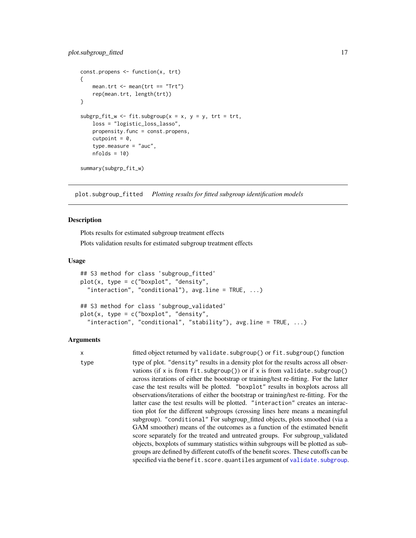```
const.propens <- function(x, trt)
{
   mean.trt <- mean(trt == "Trt")
   rep(mean.trt, length(trt))
}
subgrp_fit_w <- fit.subgroup(x = x, y = y, trt = trt,
    loss = "logistic_loss_lasso",
   propensity.func = const.propens,
   cutpoint = 0,
    type.measure = "auc",
   nfolds = 10summary(subgrp_fit_w)
```
<span id="page-16-1"></span>plot.subgroup\_fitted *Plotting results for fitted subgroup identification models*

#### <span id="page-16-2"></span>Description

Plots results for estimated subgroup treatment effects

Plots validation results for estimated subgroup treatment effects

#### Usage

```
## S3 method for class 'subgroup_fitted'
plot(x, type = c("boxplot", "density","interaction", "conditional"), avgu = TRUE, ...## S3 method for class 'subgroup_validated'
plot(x, type = c("boxplot", "density","interaction", "conditional", "stability"), avg.line = TRUE, ...)
```
#### Arguments

```
x fitted object returned by validate.subgroup() or fit.subgroup() function
type type of plot. "density" results in a density plot for the results across all obser-
                 vations (if x is from fit.subgroup()) or if x is from validate.subgroup()
                 across iterations of either the bootstrap or training/test re-fitting. For the latter
                 case the test results will be plotted. "boxplot" results in boxplots across all
                 observations/iterations of either the bootstrap or training/test re-fitting. For the
                 latter case the test results will be plotted. "interaction" creates an interac-
                 tion plot for the different subgroups (crossing lines here means a meaningful
                 subgroup). "conditional" For subgroup_fitted objects, plots smoothed (via a
                 GAM smoother) means of the outcomes as a function of the estimated benefit
                 score separately for the treated and untreated groups. For subgroup_validated
                 objects, boxplots of summary statistics within subgroups will be plotted as sub-
                 groups are defined by different cutoffs of the benefit scores. These cutoffs can be
                 validate.subgroup.
```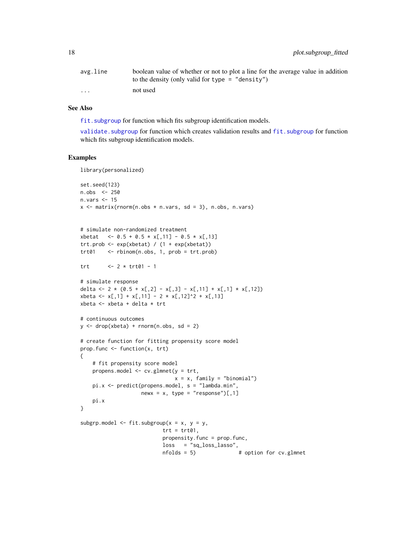<span id="page-17-0"></span>

| avg.line                | boolean value of whether or not to plot a line for the average value in addition |
|-------------------------|----------------------------------------------------------------------------------|
|                         | to the density (only valid for type $=$ "density")                               |
| $\cdot$ $\cdot$ $\cdot$ | not used                                                                         |

#### See Also

fit. subgroup for function which fits subgroup identification models.

validate. subgroup for function which creates validation results and fit. subgroup for function which fits subgroup identification models.

#### Examples

library(personalized)

```
set.seed(123)
n.obs <- 250
n.vars <- 15
x \le matrix(rnorm(n.obs * n.vars, sd = 3), n.obs, n.vars)
# simulate non-randomized treatment
xbetat <- 0.5 + 0.5 * x[,11] - 0.5 * x[,13]
trt.prob <- exp(xbeta) / (1 + exp(xbeta))trt01 <- rbinom(n.obs, 1, prob = trt.prob)
trt <- 2 * trt01 - 1
# simulate response
delta <- 2 * (0.5 + x[,2] - x[,3] - x[,11] + x[,1] * x[,12])
xbeta <- x[,1] + x[,11] - 2 * x[,12]^2 + x[,13]
xbeta <- xbeta + delta * trt
# continuous outcomes
y \le - drop(xbeta) + rnorm(n.obs, sd = 2)
# create function for fitting propensity score model
prop.func <- function(x, trt)
{
    # fit propensity score model
   propens.model <- cv.glmnet(y = trt,
                              x = x, family = "binomial")
   pi.x <- predict(propens.model, s = "lambda.min",
                   newx = x, type = "response")[,1]
   pi.x
}
subgrp.model <- fit.subgroup(x = x, y = y,
                          trt = trt01,
                          propensity.func = prop.func,
                          loss = "sq_loss_lasso",
                          nfolds = 5) # option for cv.glmnet
```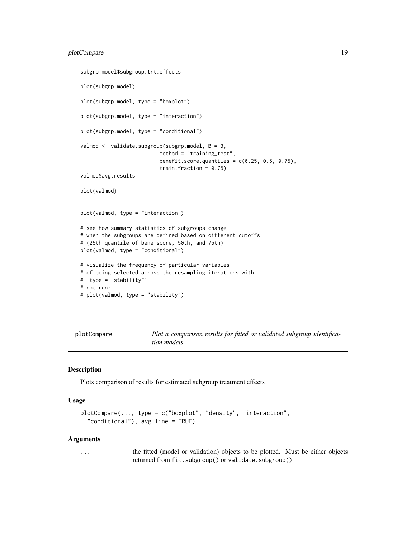#### <span id="page-18-0"></span>plotCompare 19

```
subgrp.model$subgroup.trt.effects
plot(subgrp.model)
plot(subgrp.model, type = "boxplot")
plot(subgrp.model, type = "interaction")
plot(subgrp.model, type = "conditional")
valmod <- validate.subgroup(subgrp.model, B = 3,
                          method = "training_test",
                          benefit.score.quantiles = c(0.25, 0.5, 0.75),
                          train.fraction = 0.75)
valmod$avg.results
plot(valmod)
plot(valmod, type = "interaction")
# see how summary statistics of subgroups change
# when the subgroups are defined based on different cutoffs
# (25th quantile of bene score, 50th, and 75th)
plot(valmod, type = "conditional")
# visualize the frequency of particular variables
# of being selected across the resampling iterations with
# 'type = "stability"'
# not run:
# plot(valmod, type = "stability")
```
plotCompare *Plot a comparison results for fitted or validated subgroup identification models*

#### Description

Plots comparison of results for estimated subgroup treatment effects

#### Usage

```
plotCompare(..., type = c("boxplot", "density", "interaction",
  "conditional"), avg.line = TRUE)
```
#### Arguments

... the fitted (model or validation) objects to be plotted. Must be either objects returned from fit.subgroup() or validate.subgroup()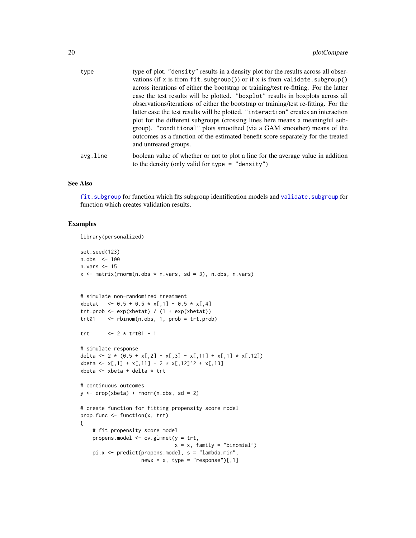<span id="page-19-0"></span>

| type     | type of plot. "density" results in a density plot for the results across all obser-<br>vations (if x is from fit. subgroup()) or if x is from validate. subgroup()<br>across iterations of either the bootstrap or training/test re-fitting. For the latter<br>case the test results will be plotted. "boxplot" results in boxplots across all<br>observations/iterations of either the bootstrap or training/test re-fitting. For the<br>latter case the test results will be plotted. "interaction" creates an interaction<br>plot for the different subgroups (crossing lines here means a meaningful sub-<br>group). "conditional" plots smoothed (via a GAM smoother) means of the<br>outcomes as a function of the estimated benefit score separately for the treated<br>and untreated groups. |
|----------|------------------------------------------------------------------------------------------------------------------------------------------------------------------------------------------------------------------------------------------------------------------------------------------------------------------------------------------------------------------------------------------------------------------------------------------------------------------------------------------------------------------------------------------------------------------------------------------------------------------------------------------------------------------------------------------------------------------------------------------------------------------------------------------------------|
| avg.line | boolean value of whether or not to plot a line for the average value in addition<br>to the density (only valid for type $=$ "density")                                                                                                                                                                                                                                                                                                                                                                                                                                                                                                                                                                                                                                                               |

#### See Also

fit. subgroup for function which fits subgroup identification models and validate. subgroup for function which creates validation results.

#### Examples

```
library(personalized)
```

```
set.seed(123)
n.obs <- 100
n.vars <- 15
x \le matrix(rnorm(n.obs * n.vars, sd = 3), n.obs, n.vars)
# simulate non-randomized treatment
xbetat <- 0.5 + 0.5 * x[,1] - 0.5 * x[,4]
trt.prob <- exp(xbetat) / (1 + exp(xbetat))
trt01 <- rbinom(n.obs, 1, prob = trt.prob)
trt <- 2 * trt01 - 1
# simulate response
delta <- 2 * (0.5 + x[,2] - x[,3] - x[,11] + x[,1] \times x[,12]xbeta <- x[,1] + x[,11] - 2 * x[,12]^2 + x[,13]
xbeta <- xbeta + delta * trt
# continuous outcomes
y \le - drop(xbeta) + rnorm(n.obs, sd = 2)
# create function for fitting propensity score model
prop.func <- function(x, trt)
{
    # fit propensity score model
    propens.model \leq cv.glmnet(y = trt,
                              x = x, family = "binomial")
    pi.x <- predict(propens.model, s = "lambda.min",
                    newx = x, type = "response")[,1]
```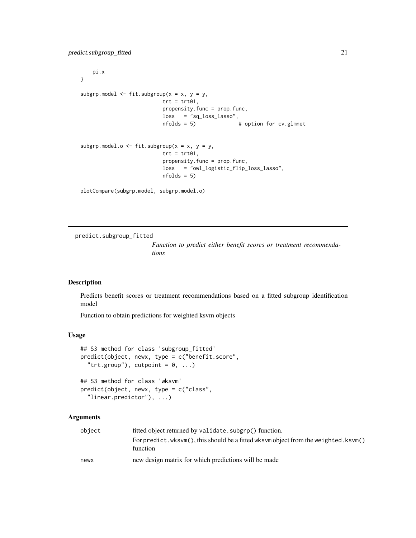<span id="page-20-0"></span>pi.x } subgrp.model  $\leq$  fit.subgroup(x = x, y = y,  $trt = trt01,$ propensity.func = prop.func, loss = "sq\_loss\_lasso", nfolds = 5) # option for cv.glmnet subgrp.model.o <- fit.subgroup( $x = x$ ,  $y = y$ ,  $trt = trt01,$ propensity.func = prop.func, loss = "owl\_logistic\_flip\_loss\_lasso",  $nfolds = 5$ plotCompare(subgrp.model, subgrp.model.o)

<span id="page-20-1"></span>predict.subgroup\_fitted

*Function to predict either benefit scores or treatment recommendations*

#### <span id="page-20-2"></span>Description

Predicts benefit scores or treatment recommendations based on a fitted subgroup identification model

Function to obtain predictions for weighted ksvm objects

#### Usage

```
## S3 method for class 'subgroup_fitted'
predict(object, newx, type = c("benefit.score",
  "trt.group"), cutpoint = 0, ...)
```

```
## S3 method for class 'wksvm'
predict(object, newx, type = c("class",
  "linear.predictor"), ...)
```
#### Arguments

| object | fitted object returned by validate.subgrp() function.                                          |
|--------|------------------------------------------------------------------------------------------------|
|        | For predict.wksvm(), this should be a fitted wksvm object from the weighted.ksvm()<br>function |
| newx   | new design matrix for which predictions will be made                                           |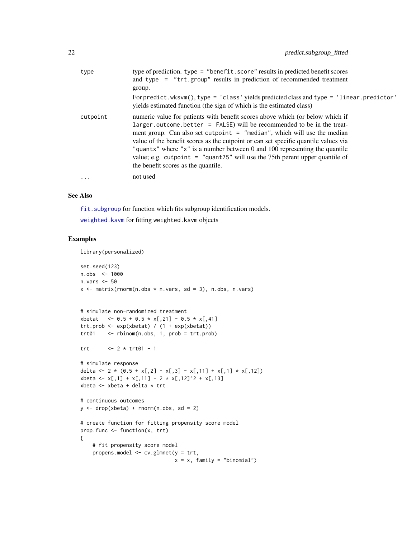<span id="page-21-0"></span>

| type      | type of prediction. type = "benefit.score" results in predicted benefit scores<br>and type = $"trt.group"$ results in prediction of recommended treatment<br>group.<br>For predict.wksvm(), type = 'class' yields predicted class and type = 'linear.predictor'<br>yields estimated function (the sign of which is the estimated class)                                                                                                                                                                                                  |
|-----------|------------------------------------------------------------------------------------------------------------------------------------------------------------------------------------------------------------------------------------------------------------------------------------------------------------------------------------------------------------------------------------------------------------------------------------------------------------------------------------------------------------------------------------------|
| cutpoint  | numeric value for patients with benefit scores above which (or below which if<br>$larger.outcome.better = FALSE) will be recommended to be in the treat-$<br>ment group. Can also set cutpoint $=$ "median", which will use the median<br>value of the benefit scores as the cutpoint or can set specific quantile values via<br>"quantx" where " $x$ " is a number between 0 and 100 representing the quantile<br>value; e.g. cutpoint = $"$ quant75" will use the 75th perent upper quantile of<br>the benefit scores as the quantile. |
| $\ddotsc$ | not used                                                                                                                                                                                                                                                                                                                                                                                                                                                                                                                                 |

#### See Also

fit. subgroup for function which fits subgroup identification models.

[weighted.ksvm](#page-33-1) for fitting weighted.ksvm objects

#### Examples

library(personalized)

```
set.seed(123)
n.obs <- 1000
n.vars <- 50
x \le matrix(rnorm(n.obs * n.vars, sd = 3), n.obs, n.vars)
# simulate non-randomized treatment
xbetat <- 0.5 + 0.5 * x[,21] - 0.5 * x[,41]
trt.prob <- exp(xbeta) / (1 + exp(xbeta))trt01 <- rbinom(n.obs, 1, prob = trt.prob)
trt <- 2 * trt01 - 1
# simulate response
delta <- 2 * (0.5 + x[, 2] - x[, 3] - x[, 11] + x[, 1] * x[, 12]xbeta <- x[,1] + x[,11] - 2 * x[,12]^2 + x[,13]
xbeta <- xbeta + delta * trt
# continuous outcomes
y \le - drop(xbeta) + rnorm(n.obs, sd = 2)
# create function for fitting propensity score model
prop.func <- function(x, trt)
{
    # fit propensity score model
    propens.model \leq cv.glmnet(y = trt,
                              x = x, family = "binomial")
```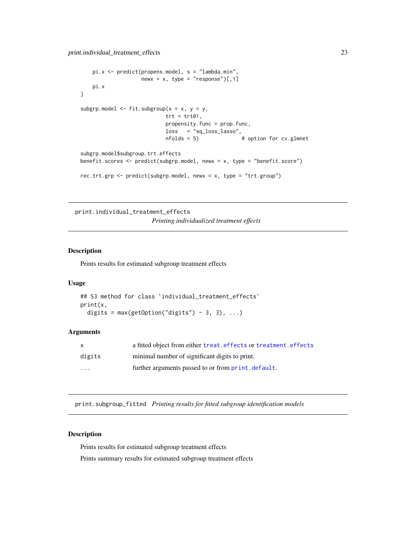```
pi.x \leftarrow predict(propens.model, s = "lambda.mbd, min",newx = x, type = "response")[,1]
   pi.x
}
subgrp.model \leq fit.subgroup(x = x, y = y,
                            trt = trt01,propensity.func = prop.func,
                            loss = "sq_loss_lasso",
                            nfolds = 5) # option for cv.glmnet
subgrp.model$subgroup.trt.effects
benefit.scores <- predict(subgrp.model, newx = x, type = "benefit.score")
rec.trt.grp <- predict(subgrp.model, newx = x, type = "trt.group")
```
<span id="page-22-3"></span>print.individual\_treatment\_effects *Printing individualized treatment effects*

#### Description

Prints results for estimated subgroup treatment effects

#### Usage

```
## S3 method for class 'individual_treatment_effects'
print(x,
  digits = max(getOption("digits") - 3, 3), ...
```
#### Arguments

| X        | a fitted object from either treat. effects or treatment. effects |
|----------|------------------------------------------------------------------|
| digits   | minimal number of significant digits to print.                   |
| $\cdots$ | further arguments passed to or from print, default.              |

<span id="page-22-1"></span>print.subgroup\_fitted *Printing results for fitted subgroup identification models*

#### <span id="page-22-2"></span>Description

Prints results for estimated subgroup treatment effects

Prints summary results for estimated subgroup treatment effects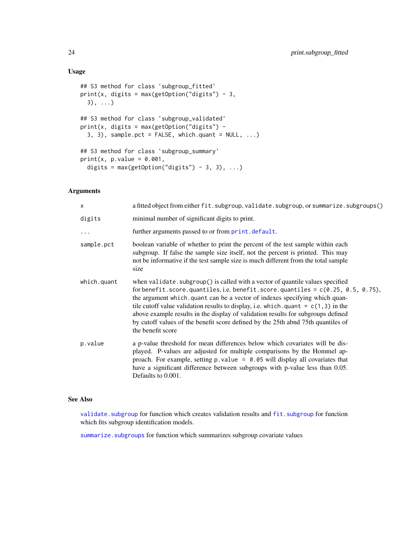#### Usage

```
## S3 method for class 'subgroup_fitted'
print(x, digits = max(getOption("digits") - 3,
 3), ...)
## S3 method for class 'subgroup_validated'
print(x, digits = max(getOption("digits") -
  3, 3), sample.pct = FALSE, which.quant = NULL, ...)
## S3 method for class 'subgroup_summary'
print(x, p.value = 0.001,digits = max(getOption("digits") - 3, 3), ...
```
#### Arguments

| $\times$    | a fitted object from either fit.subgroup, validate.subgroup, or summarize.subgroups()                                                                                                                                                                                                                                                                                                                                                                                                                                                    |
|-------------|------------------------------------------------------------------------------------------------------------------------------------------------------------------------------------------------------------------------------------------------------------------------------------------------------------------------------------------------------------------------------------------------------------------------------------------------------------------------------------------------------------------------------------------|
| digits      | minimal number of significant digits to print.                                                                                                                                                                                                                                                                                                                                                                                                                                                                                           |
|             | further arguments passed to or from print. default.                                                                                                                                                                                                                                                                                                                                                                                                                                                                                      |
| sample.pct  | boolean variable of whether to print the percent of the test sample within each<br>subgroup. If false the sample size itself, not the percent is printed. This may<br>not be informative if the test sample size is much different from the total sample<br>size                                                                                                                                                                                                                                                                         |
| which.quant | when validate. subgroup() is called with a vector of quantile values specified<br>for benefit.score.quantiles, i.e. benefit.score.quantiles = $c(0.25, 0.5, 0.75)$ ,<br>the argument which, quant can be a vector of indexes specifying which quan-<br>tile cutoff value validation results to display, i.e. which. quant = $c(1,3)$ in the<br>above example results in the display of validation results for subgroups defined<br>by cutoff values of the benefit score defined by the 25th abnd 75th quantiles of<br>the benefit score |
| p.value     | a p-value threshold for mean differences below which covariates will be dis-<br>played. P-values are adjusted for multiple comparisons by the Hommel ap-<br>proach. For example, setting $p$ value = 0.05 will display all covariates that<br>have a significant difference between subgroups with p-value less than 0.05.<br>Defaults to 0.001.                                                                                                                                                                                         |

#### See Also

validate. subgroup for function which creates validation results and fit. subgroup for function which fits subgroup identification models.

summarize. subgroups for function which summarizes subgroup covariate values

<span id="page-23-0"></span>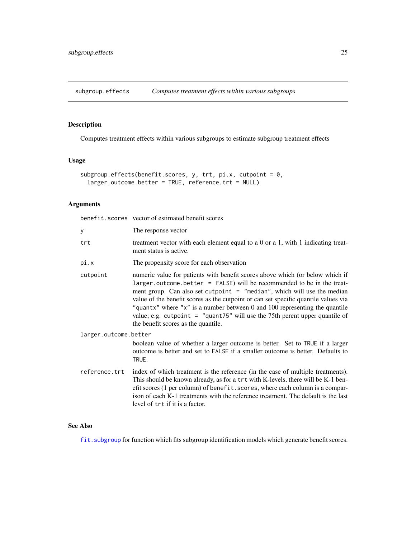<span id="page-24-0"></span>subgroup.effects *Computes treatment effects within various subgroups*

#### Description

Computes treatment effects within various subgroups to estimate subgroup treatment effects

### Usage

```
subgroup.effects(benefit.scores, y, trt, pi.x, cutpoint = 0,
 larger.outcome.better = TRUE, reference.trt = NULL)
```
#### Arguments

benefit.scores vector of estimated benefit scores

| У                     | The response vector                                                                                                                                                                                                                                                                                                                                                                                                                                                                                                                    |  |
|-----------------------|----------------------------------------------------------------------------------------------------------------------------------------------------------------------------------------------------------------------------------------------------------------------------------------------------------------------------------------------------------------------------------------------------------------------------------------------------------------------------------------------------------------------------------------|--|
| trt                   | treatment vector with each element equal to a 0 or a 1, with 1 indicating treat-<br>ment status is active.                                                                                                                                                                                                                                                                                                                                                                                                                             |  |
| pi.x                  | The propensity score for each observation                                                                                                                                                                                                                                                                                                                                                                                                                                                                                              |  |
| cutpoint              | numeric value for patients with benefit scores above which (or below which if<br>larger.outcome.better = FALSE) will be recommended to be in the treat-<br>ment group. Can also set cutpoint $=$ "median", which will use the median<br>value of the benefit scores as the cutpoint or can set specific quantile values via<br>"quantx" where " $x$ " is a number between 0 and 100 representing the quantile<br>value; e.g. cutpoint = $"$ quant75" will use the 75th perent upper quantile of<br>the benefit scores as the quantile. |  |
| larger.outcome.better |                                                                                                                                                                                                                                                                                                                                                                                                                                                                                                                                        |  |
|                       | boolean value of whether a larger outcome is better. Set to TRUE if a larger<br>outcome is better and set to FALSE if a smaller outcome is better. Defaults to<br>TRUE.                                                                                                                                                                                                                                                                                                                                                                |  |
| reference.trt         | index of which treatment is the reference (in the case of multiple treatments).<br>This should be known already, as for a trt with K-levels, there will be K-1 ben-<br>efit scores (1 per column) of benefit. scores, where each column is a compar-<br>ison of each K-1 treatments with the reference treatment. The default is the last<br>level of trt if it is a factor.                                                                                                                                                           |  |

#### See Also

[fit.subgroup](#page-3-1) for function which fits subgroup identification models which generate benefit scores.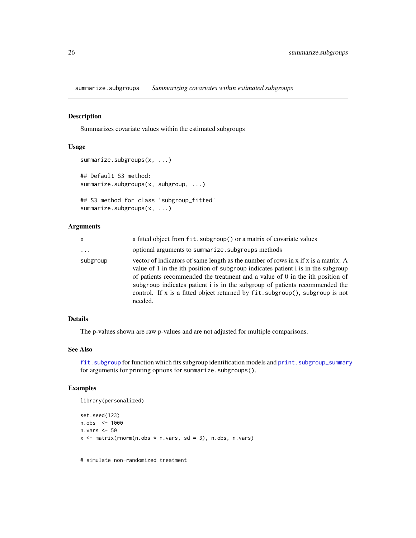<span id="page-25-1"></span><span id="page-25-0"></span>summarize.subgroups *Summarizing covariates within estimated subgroups*

#### Description

Summarizes covariate values within the estimated subgroups

#### Usage

```
summarize.subgroups(x, ...)
## Default S3 method:
summarize.subgroups(x, subgroup, ...)
## S3 method for class 'subgroup_fitted'
```
summarize.subgroups(x, ...)

#### Arguments

| X        | a fitted object from fit. subgroup() or a matrix of covariate values                                                                                                                                                                                                                                                                                                                                                               |
|----------|------------------------------------------------------------------------------------------------------------------------------------------------------------------------------------------------------------------------------------------------------------------------------------------------------------------------------------------------------------------------------------------------------------------------------------|
| $\cdots$ | optional arguments to summarize. subgroups methods                                                                                                                                                                                                                                                                                                                                                                                 |
| subgroup | vector of indicators of same length as the number of rows in x if x is a matrix. A<br>value of 1 in the ith position of subgroup indicates patient i is in the subgroup<br>of patients recommended the treatment and a value of 0 in the ith position of<br>subgroup indicates patient i is in the subgroup of patients recommended the<br>control. If x is a fitted object returned by fit.subgroup(), subgroup is not<br>needed. |

#### Details

The p-values shown are raw p-values and are not adjusted for multiple comparisons.

#### See Also

fit. subgroup for function which fits subgroup identification models and print. subgroup\_summary for arguments for printing options for summarize.subgroups().

#### Examples

```
library(personalized)
```

```
set.seed(123)
n.obs <- 1000
n.vars <- 50
x \le matrix(rnorm(n.obs * n.vars, sd = 3), n.obs, n.vars)
```
# simulate non-randomized treatment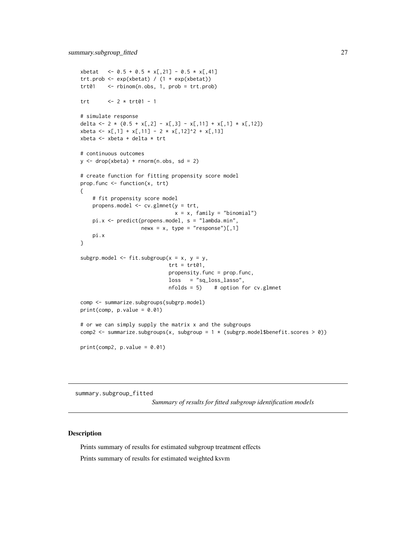```
xbetat \leq -0.5 + 0.5 \times x[, 21] -0.5 \times x[, 41]
trt.prob <- exp(xbetat) / (1 + exp(xbetat))
trt01 <- rbinom(n.obs, 1, prob = trt.prob)
trt <- 2 * trt01 - 1
# simulate response
delta <- 2 * (0.5 + x[,2] - x[,3] - x[,11] + x[,1] * x[,12])
xbeta <- x[,1] + x[,11] - 2 * x[,12]^2 + x[,13]
xbeta <- xbeta + delta * trt
# continuous outcomes
y \le - drop(xbeta) + rnorm(n.obs, sd = 2)
# create function for fitting propensity score model
prop.func <- function(x, trt)
{
    # fit propensity score model
   propens.model <- cv.glmnet(y = trt,
                              x = x, family = "binomial")
   pi.x <- predict(propens.model, s = "lambda.min",
                   newx = x, type = "response")[0, 1]pi.x
}
subgrp.model \leq fit.subgroup(x = x, y = y,
                             trt = trt01,propensity.func = prop.func,
                             loss = "sq_loss_lasso",
                             nfolds = 5) # option for cv.glmnet
comp <- summarize.subgroups(subgrp.model)
print(comp, p.value = 0.01)# or we can simply supply the matrix x and the subgroups
comp2 <- summarize.subgroups(x, subgroup = 1 * (subgrp.model$benefit.scores > 0))
print(comp2, p.value = 0.01)
```
summary.subgroup\_fitted

*Summary of results for fitted subgroup identification models*

#### **Description**

Prints summary of results for estimated subgroup treatment effects Prints summary of results for estimated weighted ksvm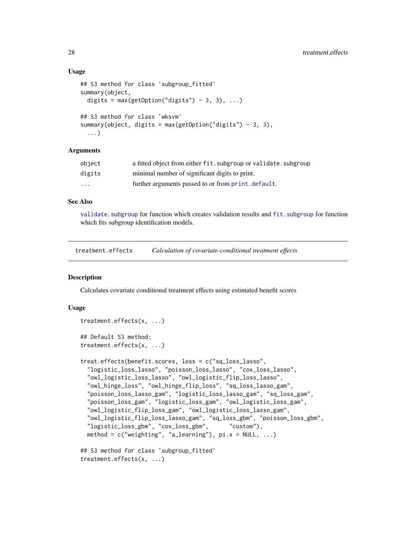#### <span id="page-27-0"></span>Usage

```
## S3 method for class 'subgroup_fitted'
summary(object,
 digits = max(getOption("digits") - 3, 3), ...## S3 method for class 'wksvm'
summary(object, digits = max(getOption("digits") - 3, 3),
  ...)
```
#### Arguments

| object   | a fitted object from either fit. subgroup or validate. subgroup |
|----------|-----------------------------------------------------------------|
| digits   | minimal number of significant digits to print.                  |
| $\cdots$ | further arguments passed to or from print. default.             |

#### See Also

validate. subgroup for function which creates validation results and fit. subgroup for function which fits subgroup identification models.

<span id="page-27-2"></span>treatment.effects *Calculation of covariate-conditional treatment effects*

#### <span id="page-27-1"></span>**Description**

Calculates covariate conditional treatment effects using estimated benefit scores

#### Usage

```
treatment.effects(x, ...)
## Default S3 method:
treatment.effects(x, ...)
treat.effects(benefit.scores, loss = c("sq_loss_lasso",
 "logistic_loss_lasso", "poisson_loss_lasso", "cox_loss_lasso",
 "owl_logistic_loss_lasso", "owl_logistic_flip_loss_lasso",
 "owl_hinge_loss", "owl_hinge_flip_loss", "sq_loss_lasso_gam",
 "poisson_loss_lasso_gam", "logistic_loss_lasso_gam", "sq_loss_gam",
 "poisson_loss_gam", "logistic_loss_gam", "owl_logistic_loss_gam",
 "owl_logistic_flip_loss_gam", "owl_logistic_loss_lasso_gam",
 "owl_logistic_flip_loss_lasso_gam", "sq_loss_gbm", "poisson_loss_gbm",
 "logistic_loss_gbm", "cox_loss_gbm", "custom"),
 method = c("weighting", "a_learning"), pi.x = NULL, ...)## S3 method for class 'subgroup_fitted'
```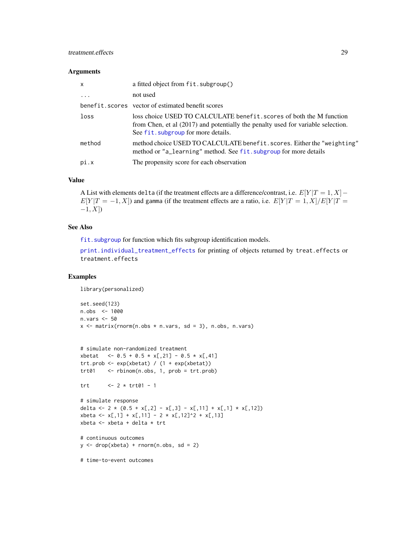#### <span id="page-28-0"></span>treatment.effects 29

#### Arguments

| $\mathsf{x}$ | a fitted object from fit. subgroup()                                                                                                                                                            |
|--------------|-------------------------------------------------------------------------------------------------------------------------------------------------------------------------------------------------|
| $\cdot$      | not used                                                                                                                                                                                        |
|              | benefit. scores vector of estimated benefit scores                                                                                                                                              |
| loss         | loss choice USED TO CALCULATE benefit, scores of both the M function<br>from Chen, et al (2017) and potentially the penalty used for variable selection.<br>See fit. subgroup for more details. |
| method       | method choice USED TO CALCULATE benefit. scores. Either the "weighting"<br>method or "a_learning" method. See fit, subgroup for more details                                                    |
| pi.x         | The propensity score for each observation                                                                                                                                                       |

#### Value

A List with elements delta (if the treatment effects are a difference/contrast, i.e.  $E[Y|T=1, X]$  –  $E[Y|T = -1, X]$ ) and gamma (if the treatment effects are a ratio, i.e.  $E[Y|T = 1, X]/E[Y|T =$  $-1, X$ ])

#### See Also

fit. subgroup for function which fits subgroup identification models.

[print.individual\\_treatment\\_effects](#page-22-3) for printing of objects returned by treat.effects or treatment.effects

#### Examples

library(personalized)

```
set.seed(123)
n.obs <- 1000
n.vars <- 50
x \le matrix(rnorm(n.obs * n.vars, sd = 3), n.obs, n.vars)
```

```
# simulate non-randomized treatment
xbetat <- 0.5 + 0.5 * x[,21] - 0.5 * x[,41]
trt.prob <- exp(xbetat) / (1 + exp(xbetat))
trt01 <- rbinom(n.obs, 1, prob = trt.prob)
```

```
trt <- 2 * trt01 - 1
```

```
# simulate response
delta <- 2 * (0.5 + x[,2] - x[,3] - x[,11] + x[,1] * x[,12])
xbeta <- x[,1] + x[,11] - 2 * x[,12]^2 + x[,13]
xbeta <- xbeta + delta * trt
```

```
# continuous outcomes
y \le - drop(xbeta) + rnorm(n.obs, sd = 2)
```
# time-to-event outcomes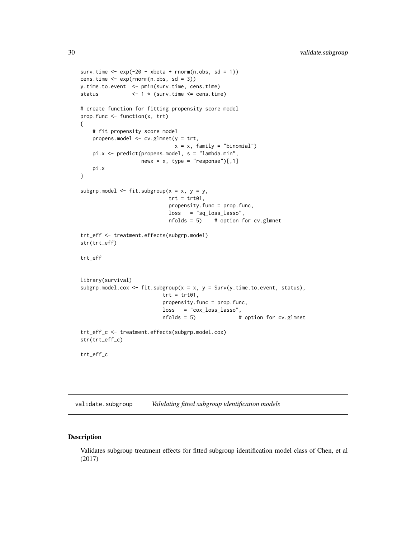```
surv.time \leq -\exp(-2\theta - \theta) - xbeta + rnorm(n.obs, sd = 1))
cens.time \leq -\exp(\text{rnorm}(n.\text{obs}, \text{sd} = 3))y.time.to.event <- pmin(surv.time, cens.time)
status <- 1 * (surv.time <= cens.time)
# create function for fitting propensity score model
prop.func <- function(x, trt)
{
    # fit propensity score model
   propens.model <- cv.glmnet(y = trt,
                                x = x, family = "binomial")
    pi.x <- predict(propens.model, s = "lambda.min",
                    newx = x, type = "response")[,1]
    pi.x
}
subgrp.model \leq fit.subgroup(x = x, y = y,
                             trt = trt01,propensity.func = prop.func,
                             loss = "sq_loss_lasso",
                             nfolds = 5 # option for cv.glmnet
trt_eff <- treatment.effects(subgrp.model)
str(trt_eff)
trt_eff
library(survival)
subgrp.model.cox <- fit.subgroup(x = x, y = Surv(y.time.to.event, status),
                           trt = trt01,propensity.func = prop.func,
                           loss = "cox_loss_lasso",
                           nfolds = 5) # option for cv.glmnet
trt_eff_c <- treatment.effects(subgrp.model.cox)
str(trt_eff_c)
trt_eff_c
```
<span id="page-29-1"></span>validate.subgroup *Validating fitted subgroup identification models*

#### Description

Validates subgroup treatment effects for fitted subgroup identification model class of Chen, et al (2017)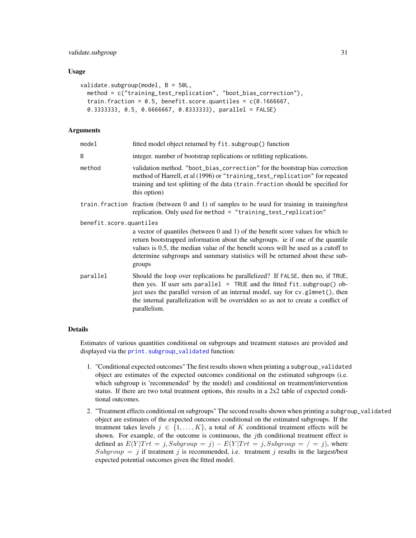#### <span id="page-30-0"></span>validate.subgroup 31

#### Usage

```
validate.subgroup(model, B = 50L,
  method = c("training_test_replication", "boot_bias_correction"),
  train.fraction = 0.5, benefit.score.quantiles = c(0.1666667),
  0.3333333, 0.5, 0.6666667, 0.8333333), parallel = FALSE)
```
#### Arguments

| model                   | fitted model object returned by fit.subgroup() function                                                                                                                                                                                                                                                                                             |  |
|-------------------------|-----------------------------------------------------------------------------------------------------------------------------------------------------------------------------------------------------------------------------------------------------------------------------------------------------------------------------------------------------|--|
| B                       | integer, number of bootstrap replications or refitting replications.                                                                                                                                                                                                                                                                                |  |
| method                  | validation method. "boot_bias_correction" for the bootstrap bias correction<br>method of Harrell, et al (1996) or "training_test_replication" for repeated<br>training and test splitting of the data (train. fraction should be specified for<br>this option)                                                                                      |  |
|                         | train. fraction fraction (between 0 and 1) of samples to be used for training in training/test<br>replication. Only used for method = "training_test_replication"                                                                                                                                                                                   |  |
| benefit.score.quantiles |                                                                                                                                                                                                                                                                                                                                                     |  |
|                         | a vector of quantiles (between 0 and 1) of the benefit score values for which to<br>return bootstrapped information about the subgroups. ie if one of the quantile<br>values is 0.5, the median value of the benefit scores will be used as a cutoff to<br>determine subgroups and summary statistics will be returned about these sub-<br>groups   |  |
| parallel                | Should the loop over replications be parallelized? If FALSE, then no, if TRUE,<br>then yes. If user sets parallel = TRUE and the fitted $fit:subgroup()$ ob-<br>ject uses the parallel version of an internal model, say for cv.glmnet(), then<br>the internal parallelization will be overridden so as not to create a conflict of<br>parallelism. |  |

#### Details

Estimates of various quantities conditional on subgroups and treatment statuses are provided and displayed via the [print.subgroup\\_validated](#page-22-2) function:

- 1. "Conditional expected outcomes" The first results shown when printing a subgroup\_validated object are estimates of the expected outcomes conditional on the estimated subgroups (i.e. which subgroup is 'recommended' by the model) and conditional on treatment/intervention status. If there are two total treatment options, this results in a 2x2 table of expected conditional outcomes.
- 2. "Treatment effects conditional on subgroups" The second results shown when printing a subgroup\_validated object are estimates of the expected outcomes conditional on the estimated subgroups. If the treatment takes levels  $j \in \{1, \ldots, K\}$ , a total of K conditional treatment effects will be shown. For example, of the outcome is continuous, the *j*th conditional treatment effect is defined as  $E(Y|Trt = j, Subgroup = j) - E(Y|Trt = j, Subgroup = j = j)$ , where Subgroup = j if treatment j is recommended, i.e. treatment j results in the largest/best expected potential outcomes given the fitted model.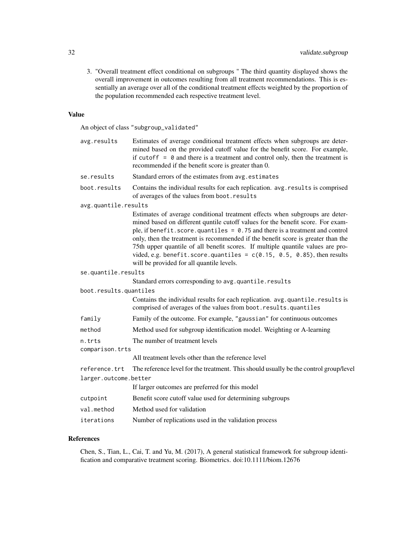3. "Overall treatment effect conditional on subgroups " The third quantity displayed shows the overall improvement in outcomes resulting from all treatment recommendations. This is essentially an average over all of the conditional treatment effects weighted by the proportion of the population recommended each respective treatment level.

#### Value

An object of class "subgroup\_validated"

| avg.results               | Estimates of average conditional treatment effects when subgroups are deter-<br>mined based on the provided cutoff value for the benefit score. For example,<br>if cutoff $= 0$ and there is a treatment and control only, then the treatment is<br>recommended if the benefit score is greater than 0.                                                                                                                                                                                                                                             |
|---------------------------|-----------------------------------------------------------------------------------------------------------------------------------------------------------------------------------------------------------------------------------------------------------------------------------------------------------------------------------------------------------------------------------------------------------------------------------------------------------------------------------------------------------------------------------------------------|
| se.results                | Standard errors of the estimates from avg. estimates                                                                                                                                                                                                                                                                                                                                                                                                                                                                                                |
| boot.results              | Contains the individual results for each replication. avg. results is comprised<br>of averages of the values from boot.results                                                                                                                                                                                                                                                                                                                                                                                                                      |
| avg.quantile.results      |                                                                                                                                                                                                                                                                                                                                                                                                                                                                                                                                                     |
|                           | Estimates of average conditional treatment effects when subgroups are deter-<br>mined based on different quntile cutoff values for the benefit score. For exam-<br>ple, if benefit. score. quantiles = $0.75$ and there is a treatment and control<br>only, then the treatment is recommended if the benefit score is greater than the<br>75th upper quantile of all benefit scores. If multiple quantile values are pro-<br>vided, e.g. benefit.score.quantiles = $c(0.15, 0.5, 0.85)$ , then results<br>will be provided for all quantile levels. |
| se.quantile.results       |                                                                                                                                                                                                                                                                                                                                                                                                                                                                                                                                                     |
|                           | Standard errors corresponding to avg.quantile.results                                                                                                                                                                                                                                                                                                                                                                                                                                                                                               |
| boot.results.quantiles    |                                                                                                                                                                                                                                                                                                                                                                                                                                                                                                                                                     |
|                           | Contains the individual results for each replication. avg. quantile. results is<br>comprised of averages of the values from boot.results.quantiles                                                                                                                                                                                                                                                                                                                                                                                                  |
| family                    | Family of the outcome. For example, "gaussian" for continuous outcomes                                                                                                                                                                                                                                                                                                                                                                                                                                                                              |
| method                    | Method used for subgroup identification model. Weighting or A-learning                                                                                                                                                                                                                                                                                                                                                                                                                                                                              |
| n.trts<br>comparison.trts | The number of treatment levels                                                                                                                                                                                                                                                                                                                                                                                                                                                                                                                      |
|                           | All treatment levels other than the reference level                                                                                                                                                                                                                                                                                                                                                                                                                                                                                                 |
| reference.trt             | The reference level for the treatment. This should usually be the control group/level                                                                                                                                                                                                                                                                                                                                                                                                                                                               |
| larger.outcome.better     |                                                                                                                                                                                                                                                                                                                                                                                                                                                                                                                                                     |
|                           | If larger outcomes are preferred for this model                                                                                                                                                                                                                                                                                                                                                                                                                                                                                                     |
| cutpoint                  | Benefit score cutoff value used for determining subgroups                                                                                                                                                                                                                                                                                                                                                                                                                                                                                           |
| val.method                | Method used for validation                                                                                                                                                                                                                                                                                                                                                                                                                                                                                                                          |
| iterations                | Number of replications used in the validation process                                                                                                                                                                                                                                                                                                                                                                                                                                                                                               |

#### References

Chen, S., Tian, L., Cai, T. and Yu, M. (2017), A general statistical framework for subgroup identification and comparative treatment scoring. Biometrics. doi:10.1111/biom.12676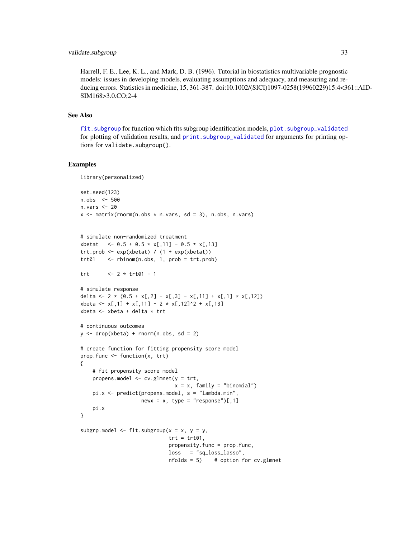<span id="page-32-0"></span>Harrell, F. E., Lee, K. L., and Mark, D. B. (1996). Tutorial in biostatistics multivariable prognostic models: issues in developing models, evaluating assumptions and adequacy, and measuring and reducing errors. Statistics in medicine, 15, 361-387. doi:10.1002/(SICI)1097-0258(19960229)15:4<361::AID-SIM168>3.0.CO;2-4

#### See Also

[fit.subgroup](#page-3-1) for function which fits subgroup identification models, [plot.subgroup\\_validated](#page-16-2) for plotting of validation results, and print. subgroup\_validated for arguments for printing options for validate.subgroup().

#### Examples

```
library(personalized)
```

```
set.seed(123)
n.obs <- 500
n.vars <- 20
x \le matrix(rnorm(n.obs * n.vars, sd = 3), n.obs, n.vars)
```

```
# simulate non-randomized treatment
xbetat <- 0.5 + 0.5 * x[,11] - 0.5 * x[,13]
trt.prob <- exp(xbetat) / (1 + exp(xbetat))
trt01 <- rbinom(n.obs, 1, prob = trt.prob)
```

```
trt <- 2 * trt01 - 1
```

```
# simulate response
delta <- 2 * (0.5 + x[,2] - x[,3] - x[,11] + x[,1] * x[,12])
xbeta <- x[,1] + x[,11] - 2 * x[,12]^2 + x[,13]
xbeta <- xbeta + delta * trt
```

```
# continuous outcomes
y \le - drop(xbeta) + rnorm(n.obs, sd = 2)
```
# fit propensity score model

```
# create function for fitting propensity score model
prop.func <- function(x, trt)
{
```

```
propens.model <- cv.glmnet(y = trt,
                               x = x, family = "binomial")
   pi.x <- predict(propens.model, s = "lambda.min",
                   newx = x, type = "response")[,1]
    pi.x
}
subgrp.model <- fit.subgroup(x = x, y = y,
```

```
trt = trt01,
propensity.func = prop.func,
loss = "sq_loss_lasso",
nfolds = 5 # option for cv.glmnet
```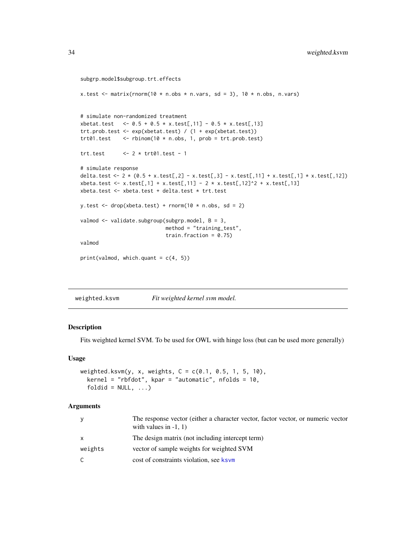```
subgrp.model$subgroup.trt.effects
x.test \le matrix(rnorm(10 * n.obs * n.vars, sd = 3), 10 * n.obs, n.vars)
# simulate non-randomized treatment
xbetat.test <- 0.5 + 0.5 * x. \text{test}[, 11] - 0.5 * x. \text{test}[, 13]
trt.prob.test <- exp(xbetat.test) / (1 + exp(xbetat.test))
trt01.test <- rbinom(10 * n.obs, 1, prob = trt.prob.test)trt.test <- 2 * trt01.test - 1
# simulate response
delta.test <- 2 * (0.5 + x.test[,2] - x.test[,3] - x.test[,11] + x.test[,1] * x.test[,12])
xbeta.test <- x.test[,1] + x.test[,11] - 2 * x.test[,12]^2 + x.test[,13]
xbeta.test <- xbeta.test + delta.test * trt.test
y.test \leq drop(xbeta.test) + rnorm(10 * n.obs, sd = 2)
valmod <- validate.subgroup(subgrp.model, B = 3,
                            method = "training_test",
                            train.fraction = 0.75)
valmod
print(valmod, which.quant = c(4, 5))
```
<span id="page-33-1"></span>

| weighted.ksvm | Fit weighted kernel svm model. |
|---------------|--------------------------------|
|               |                                |

#### Description

Fits weighted kernel SVM. To be used for OWL with hinge loss (but can be used more generally)

#### Usage

```
weighted.ksvm(y, x, weights, C = c(0.1, 0.5, 1, 5, 10),
  kernel = "rbfdot", kpar = "automatic", nfolds = 10,
  foldid = NULL, ...)
```
#### Arguments

| <b>V</b>     | The response vector (either a character vector, factor vector, or numeric vector<br>with values in $-1$ , 1) |
|--------------|--------------------------------------------------------------------------------------------------------------|
| $\mathsf{x}$ | The design matrix (not including intercept term)                                                             |
| weights      | vector of sample weights for weighted SVM                                                                    |
|              | cost of constraints violation, see ksym                                                                      |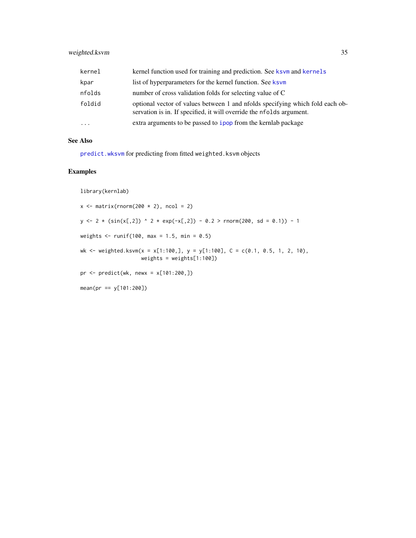#### <span id="page-34-0"></span>weighted.ksvm 35

| kernel     | kernel function used for training and prediction. See ksvm and kernels                                                                                |
|------------|-------------------------------------------------------------------------------------------------------------------------------------------------------|
| kpar       | list of hyperparameters for the kernel function. See ksym                                                                                             |
| nfolds     | number of cross validation folds for selecting value of C                                                                                             |
| foldid     | optional vector of values between 1 and nfolds specifying which fold each ob-<br>servation is in. If specified, it will override the nfolds argument. |
| $\ddots$ . | extra arguments to be passed to ipop from the kernlab package                                                                                         |

#### See Also

[predict.wksvm](#page-20-2) for predicting from fitted weighted.ksvm objects

#### Examples

library(kernlab)

 $x \le$  matrix(rnorm(200  $\star$  2), ncol = 2)  $y \leftarrow 2 * (sin(x[,2])$  ^ 2 \* exp(-x[,2]) - 0.2 > rnorm(200, sd = 0.1)) - 1 weights  $\le$  runif(100, max = 1.5, min = 0.5) wk <- weighted.ksvm(x = x[1:100,], y = y[1:100], C = c(0.1, 0.5, 1, 2, 10), weights = weights[1:100]) pr <- predict(wk, newx = x[101:200,]) mean(pr == y[101:200])